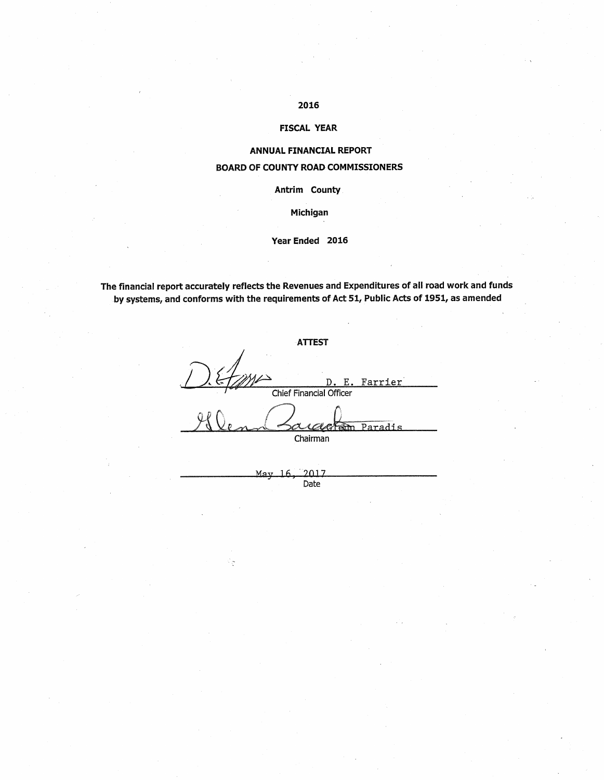## 2016

#### **FISCAL YEAR**

#### **ANNUAL FINANCIAL REPORT**

### **BOARD OF COUNTY ROAD COMMISSIONERS**

Antrim County

Michigan

#### Year Ended 2016

The financial report accurately reflects the Revenues and Expenditures of all road work and funds by systems, and conforms with the requirements of Act 51, Public Acts of 1951, as amended

**ATTEST** Farrier Chief Financial Officer Paradis pm⊤ Chairman  $-2017$ May  $16$ 

Date

਼ਿ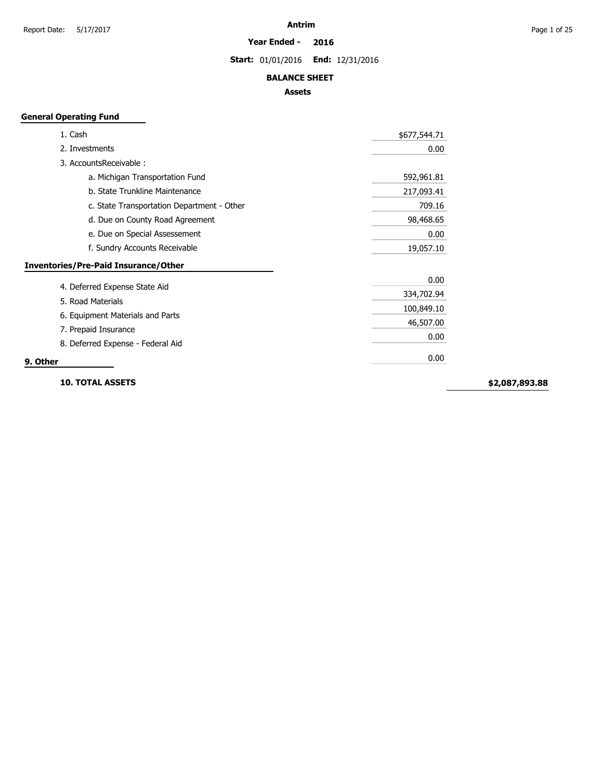#### **Year Ended - 2016**

**Start:** 01/01/2016 **End:** 12/31/2016

#### **BALANCE SHEET**

#### **Assets**

## **General Operating Fund**

| 1. Cash                                     | \$677,544.71 |
|---------------------------------------------|--------------|
| 2. Investments                              | 0.00         |
| 3. AccountsReceivable:                      |              |
| a. Michigan Transportation Fund             | 592,961.81   |
| b. State Trunkline Maintenance              | 217,093.41   |
| c. State Transportation Department - Other  | 709.16       |
| d. Due on County Road Agreement             | 98,468.65    |
| e. Due on Special Assessement               | 0.00         |
| f. Sundry Accounts Receivable               | 19,057.10    |
| <b>Inventories/Pre-Paid Insurance/Other</b> |              |
|                                             | 0.00         |
| 4. Deferred Expense State Aid               | 334,702.94   |
| 5. Road Materials                           | 100,849.10   |
| 6. Equipment Materials and Parts            | 46,507.00    |
| 7. Prepaid Insurance                        | 0.00         |
| 8. Deferred Expense - Federal Aid           |              |
| 9. Other                                    | 0.00         |

**10. TOTAL ASSETS**

**\$2,087,893.88**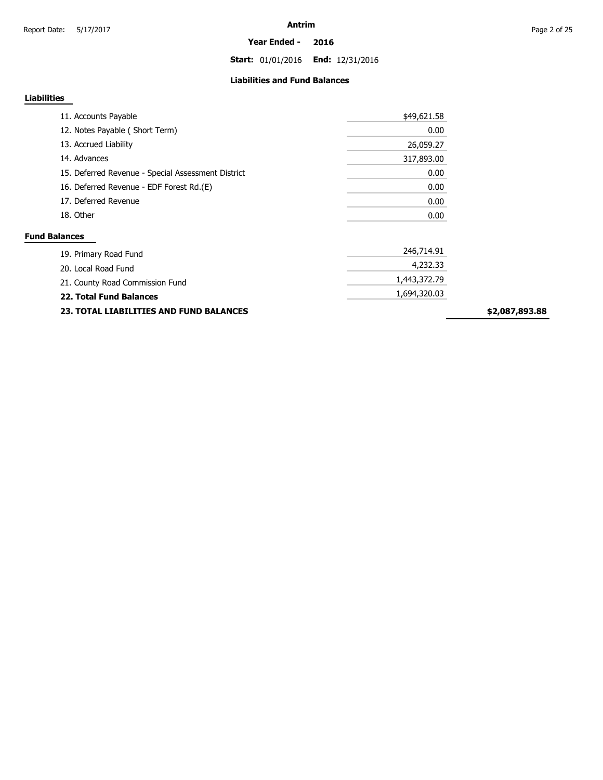**Start:** 01/01/2016 **End:** 12/31/2016

#### **Liabilities and Fund Balances**

#### **Liabilities**

| 11. Accounts Payable                               | \$49,621.58 |
|----------------------------------------------------|-------------|
| 12. Notes Payable (Short Term)                     | 0.00        |
| 13. Accrued Liability                              | 26,059.27   |
| 14. Advances                                       | 317,893.00  |
| 15. Deferred Revenue - Special Assessment District | 0.00        |
| 16. Deferred Revenue - EDF Forest Rd.(E)           | 0.00        |
| 17. Deferred Revenue                               | 0.00        |
| 18. Other                                          | 0.00        |

| <b>23. TOTAL LIABILITIES AND FUND BALANCES</b> |              | \$2 |
|------------------------------------------------|--------------|-----|
| <b>22. Total Fund Balances</b>                 | 1,694,320.03 |     |
| 21. County Road Commission Fund                | 1,443,372,79 |     |
| 20. Local Road Fund                            | 4,232,33     |     |
| 19. Primary Road Fund                          | 246./14.91   |     |

**\$2,087,893.88**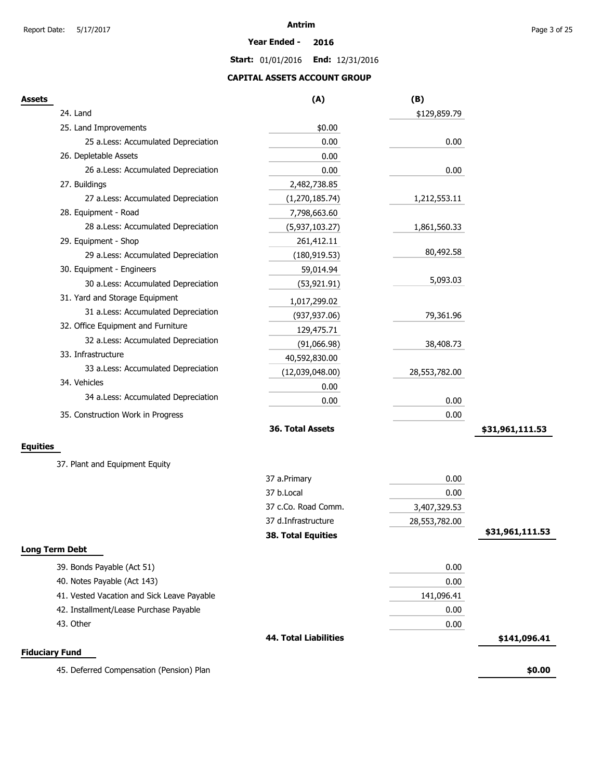**Year Ended - 2016**

**Start:** 01/01/2016 **End:** 12/31/2016

### **CAPITAL ASSETS ACCOUNT GROUP**

| Assets                                     | (A)                          | (B)           |                 |
|--------------------------------------------|------------------------------|---------------|-----------------|
| 24. Land                                   |                              | \$129,859.79  |                 |
| 25. Land Improvements                      | \$0.00                       |               |                 |
| 25 a.Less: Accumulated Depreciation        | 0.00                         | 0.00          |                 |
| 26. Depletable Assets                      | 0.00                         |               |                 |
| 26 a.Less: Accumulated Depreciation        | 0.00                         | 0.00          |                 |
| 27. Buildings                              | 2,482,738.85                 |               |                 |
| 27 a.Less: Accumulated Depreciation        | (1, 270, 185.74)             | 1,212,553.11  |                 |
| 28. Equipment - Road                       | 7,798,663.60                 |               |                 |
| 28 a.Less: Accumulated Depreciation        | (5,937,103.27)               | 1,861,560.33  |                 |
| 29. Equipment - Shop                       | 261,412.11                   |               |                 |
| 29 a.Less: Accumulated Depreciation        | (180, 919.53)                | 80,492.58     |                 |
| 30. Equipment - Engineers                  | 59,014.94                    |               |                 |
| 30 a.Less: Accumulated Depreciation        | (53,921.91)                  | 5,093.03      |                 |
| 31. Yard and Storage Equipment             | 1,017,299.02                 |               |                 |
| 31 a.Less: Accumulated Depreciation        | (937, 937.06)                | 79,361.96     |                 |
| 32. Office Equipment and Furniture         | 129,475.71                   |               |                 |
| 32 a.Less: Accumulated Depreciation        | (91,066.98)                  | 38,408.73     |                 |
| 33. Infrastructure                         | 40,592,830.00                |               |                 |
| 33 a.Less: Accumulated Depreciation        | (12,039,048.00)              | 28,553,782.00 |                 |
| 34. Vehicles                               | 0.00                         |               |                 |
| 34 a.Less: Accumulated Depreciation        | 0.00                         | 0.00          |                 |
| 35. Construction Work in Progress          |                              | 0.00          |                 |
|                                            | 36. Total Assets             |               | \$31,961,111.53 |
| Equities                                   |                              |               |                 |
|                                            |                              |               |                 |
| 37. Plant and Equipment Equity             |                              |               |                 |
|                                            | 37 a.Primary                 | 0.00          |                 |
|                                            | 37 b.Local                   | 0.00          |                 |
|                                            | 37 c.Co. Road Comm.          | 3,407,329.53  |                 |
|                                            | 37 d.Infrastructure          | 28,553,782.00 |                 |
|                                            | 38. Total Equities           |               | \$31,961,111.53 |
| <b>Long Term Debt</b>                      |                              |               |                 |
| 39. Bonds Payable (Act 51)                 |                              | 0.00          |                 |
| 40. Notes Payable (Act 143)                |                              | 0.00          |                 |
| 41. Vested Vacation and Sick Leave Payable |                              | 141,096.41    |                 |
| 42. Installment/Lease Purchase Payable     |                              | 0.00          |                 |
| 43. Other                                  |                              | 0.00          |                 |
|                                            | <b>44. Total Liabilities</b> |               | \$141,096.41    |
| <b>Fiduciary Fund</b>                      |                              |               |                 |
| 45. Deferred Compensation (Pension) Plan   |                              |               | \$0.00          |
|                                            |                              |               |                 |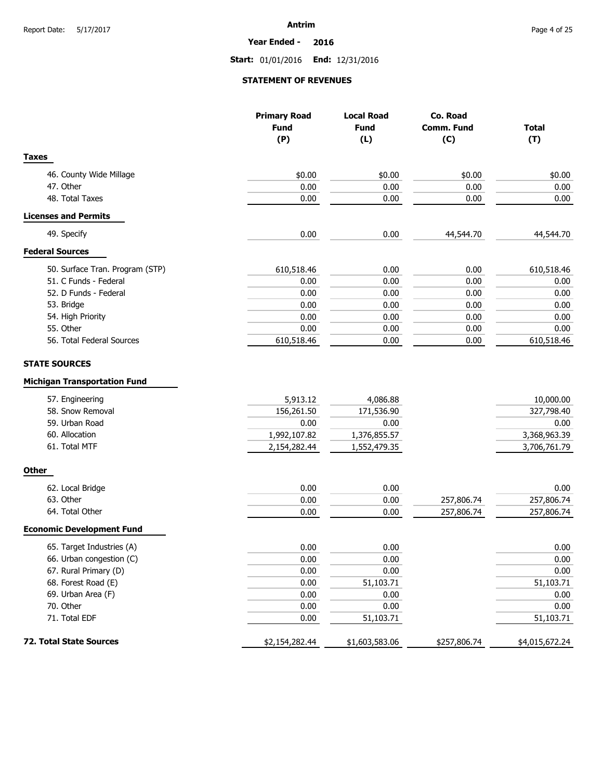**Year Ended - 2016**

**Start:** 01/01/2016 **End:** 12/31/2016

#### **STATEMENT OF REVENUES**

|                                                                                                                                 | <b>Primary Road</b><br><b>Fund</b><br>(P)                      | <b>Local Road</b><br><b>Fund</b><br>(L)                        | Co. Road<br>Comm. Fund<br>(C) | <b>Total</b><br>(T)                                             |
|---------------------------------------------------------------------------------------------------------------------------------|----------------------------------------------------------------|----------------------------------------------------------------|-------------------------------|-----------------------------------------------------------------|
| <b>Taxes</b>                                                                                                                    |                                                                |                                                                |                               |                                                                 |
| 46. County Wide Millage                                                                                                         | \$0.00                                                         | \$0.00                                                         | \$0.00                        | \$0.00                                                          |
| 47. Other                                                                                                                       | 0.00                                                           | 0.00                                                           | 0.00                          | 0.00                                                            |
| 48. Total Taxes                                                                                                                 | 0.00                                                           | 0.00                                                           | 0.00                          | 0.00                                                            |
| <b>Licenses and Permits</b>                                                                                                     |                                                                |                                                                |                               |                                                                 |
| 49. Specify                                                                                                                     | 0.00                                                           | 0.00                                                           | 44,544.70                     | 44,544.70                                                       |
| <b>Federal Sources</b>                                                                                                          |                                                                |                                                                |                               |                                                                 |
| 50. Surface Tran. Program (STP)                                                                                                 | 610,518.46                                                     | 0.00                                                           | 0.00                          | 610,518.46                                                      |
| 51. C Funds - Federal                                                                                                           | 0.00                                                           | 0.00                                                           | 0.00                          | 0.00                                                            |
| 52. D Funds - Federal                                                                                                           | 0.00                                                           | 0.00                                                           | 0.00                          | 0.00                                                            |
| 53. Bridge                                                                                                                      | 0.00                                                           | 0.00                                                           | 0.00                          | 0.00                                                            |
| 54. High Priority                                                                                                               | 0.00                                                           | 0.00                                                           | 0.00                          | 0.00                                                            |
| 55. Other                                                                                                                       | 0.00                                                           | 0.00                                                           | 0.00                          | 0.00                                                            |
| 56. Total Federal Sources                                                                                                       | 610,518.46                                                     | 0.00                                                           | 0.00                          | 610,518.46                                                      |
| <b>Michigan Transportation Fund</b><br>57. Engineering<br>58. Snow Removal<br>59. Urban Road<br>60. Allocation<br>61. Total MTF | 5,913.12<br>156,261.50<br>0.00<br>1,992,107.82<br>2,154,282.44 | 4,086.88<br>171,536.90<br>0.00<br>1,376,855.57<br>1,552,479.35 |                               | 10,000.00<br>327,798.40<br>0.00<br>3,368,963.39<br>3,706,761.79 |
| <b>Other</b>                                                                                                                    |                                                                |                                                                |                               |                                                                 |
| 62. Local Bridge                                                                                                                | 0.00                                                           | 0.00                                                           |                               | 0.00                                                            |
| 63. Other                                                                                                                       | 0.00                                                           | 0.00                                                           | 257,806.74                    | 257,806.74                                                      |
| 64. Total Other                                                                                                                 | 0.00                                                           | 0.00                                                           | 257,806.74                    | 257,806.74                                                      |
| <b>Economic Development Fund</b>                                                                                                |                                                                |                                                                |                               |                                                                 |
| 65. Target Industries (A)                                                                                                       | 0.00                                                           | 0.00                                                           |                               | 0.00                                                            |
| 66. Urban congestion (C)                                                                                                        | 0.00                                                           | 0.00                                                           |                               | $0.00\,$                                                        |
| 67. Rural Primary (D)                                                                                                           | 0.00                                                           | 0.00                                                           |                               | 0.00                                                            |
| 68. Forest Road (E)                                                                                                             | 0.00                                                           | 51,103.71                                                      |                               | 51,103.71                                                       |
| 69. Urban Area (F)                                                                                                              | 0.00                                                           | 0.00                                                           |                               | 0.00                                                            |
| 70. Other                                                                                                                       | 0.00                                                           | 0.00                                                           |                               | 0.00                                                            |
| 71. Total EDF                                                                                                                   | 0.00                                                           | 51,103.71                                                      |                               | 51,103.71                                                       |
| 72. Total State Sources                                                                                                         | \$2,154,282.44                                                 | \$1,603,583.06                                                 | \$257,806.74                  | \$4,015,672.24                                                  |
|                                                                                                                                 |                                                                |                                                                |                               |                                                                 |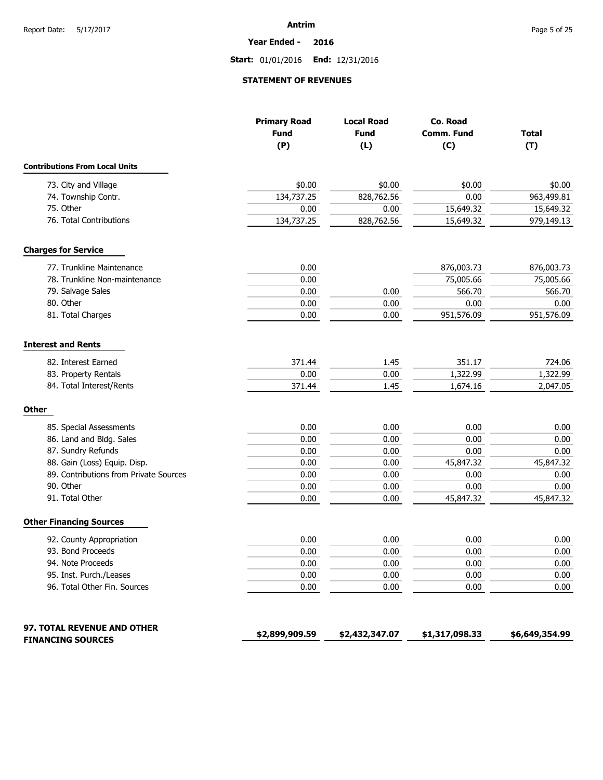**Year Ended - 2016**

**Start:** 01/01/2016 **End:** 12/31/2016

#### **STATEMENT OF REVENUES**

|                                        | <b>Primary Road</b><br><b>Fund</b><br>(P) | <b>Local Road</b><br><b>Fund</b><br>(L) | Co. Road<br><b>Comm. Fund</b><br>(C) | <b>Total</b><br>(T) |
|----------------------------------------|-------------------------------------------|-----------------------------------------|--------------------------------------|---------------------|
| <b>Contributions From Local Units</b>  |                                           |                                         |                                      |                     |
| 73. City and Village                   | \$0.00                                    | \$0.00                                  | \$0.00                               | \$0.00              |
| 74. Township Contr.                    | 134,737.25                                | 828,762.56                              | 0.00                                 | 963,499.81          |
| 75. Other                              | 0.00                                      | 0.00                                    | 15,649.32                            | 15,649.32           |
| 76. Total Contributions                | 134,737.25                                | 828,762.56                              | 15,649.32                            | 979,149.13          |
| <b>Charges for Service</b>             |                                           |                                         |                                      |                     |
| 77. Trunkline Maintenance              | 0.00                                      |                                         | 876,003.73                           | 876,003.73          |
| 78. Trunkline Non-maintenance          | 0.00                                      |                                         | 75,005.66                            | 75,005.66           |
| 79. Salvage Sales                      | 0.00                                      | 0.00                                    | 566.70                               | 566.70              |
| 80. Other                              | 0.00                                      | 0.00                                    | 0.00                                 | 0.00                |
| 81. Total Charges                      | 0.00                                      | 0.00                                    | 951,576.09                           | 951,576.09          |
| <b>Interest and Rents</b>              |                                           |                                         |                                      |                     |
| 82. Interest Earned                    | 371.44                                    | 1.45                                    | 351.17                               | 724.06              |
| 83. Property Rentals                   | 0.00                                      | 0.00                                    | 1,322.99                             | 1,322.99            |
| 84. Total Interest/Rents               | 371.44                                    | 1.45                                    | 1,674.16                             | 2,047.05            |
| <b>Other</b>                           |                                           |                                         |                                      |                     |
| 85. Special Assessments                | 0.00                                      | 0.00                                    | 0.00                                 | 0.00                |
| 86. Land and Bldg. Sales               | 0.00                                      | 0.00                                    | 0.00                                 | 0.00                |
| 87. Sundry Refunds                     | 0.00                                      | 0.00                                    | 0.00                                 | 0.00                |
| 88. Gain (Loss) Equip. Disp.           | 0.00                                      | 0.00                                    | 45,847.32                            | 45,847.32           |
| 89. Contributions from Private Sources | 0.00                                      | 0.00                                    | 0.00                                 | 0.00                |
| 90. Other                              | 0.00                                      | 0.00                                    | 0.00                                 | 0.00                |
| 91. Total Other                        | 0.00                                      | 0.00                                    | 45,847.32                            | 45,847.32           |
| <b>Other Financing Sources</b>         |                                           |                                         |                                      |                     |
| 92. County Appropriation               | 0.00                                      | 0.00                                    | 0.00                                 | 0.00                |
| 93. Bond Proceeds                      | 0.00                                      | 0.00                                    | 0.00                                 | 0.00                |
| 94. Note Proceeds                      | 0.00                                      | 0.00                                    | 0.00                                 | $0.00\,$            |
| 95. Inst. Purch./Leases                | 0.00                                      | 0.00                                    | 0.00                                 | 0.00                |
| 96. Total Other Fin. Sources           | 0.00                                      | 0.00                                    | 0.00                                 | 0.00                |
| 97. TOTAL REVENUE AND OTHER            |                                           |                                         |                                      | \$6,649,354.99      |
| <b>FINANCING SOURCES</b>               | \$2,899,909.59                            | \$2,432,347.07                          | \$1,317,098.33                       |                     |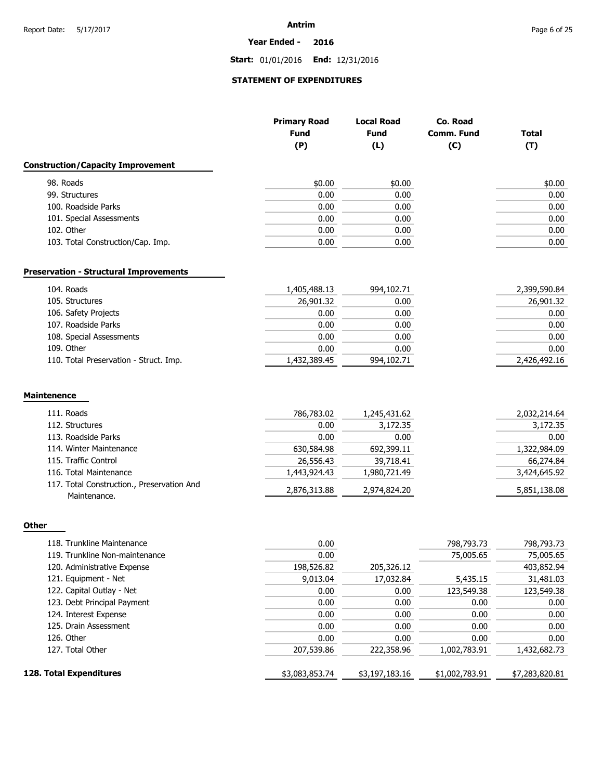#### **Year Ended - 2016**

**Start:** 01/01/2016 **End:** 12/31/2016

## **STATEMENT OF EXPENDITURES**

|                                                            | <b>Primary Road</b><br><b>Fund</b><br>(P) | <b>Local Road</b><br><b>Fund</b><br>(L) | Co. Road<br>Comm. Fund<br>(C) | <b>Total</b><br>(T) |
|------------------------------------------------------------|-------------------------------------------|-----------------------------------------|-------------------------------|---------------------|
| <b>Construction/Capacity Improvement</b>                   |                                           |                                         |                               |                     |
| 98. Roads                                                  | \$0.00                                    | \$0.00                                  |                               | \$0.00              |
| 99. Structures                                             | 0.00                                      | 0.00                                    |                               | 0.00                |
| 100. Roadside Parks                                        | 0.00                                      | 0.00                                    |                               | 0.00                |
| 101. Special Assessments                                   | 0.00                                      | 0.00                                    |                               | 0.00                |
| 102. Other                                                 | 0.00                                      | 0.00                                    |                               | 0.00                |
| 103. Total Construction/Cap. Imp.                          | 0.00                                      | 0.00                                    |                               | 0.00                |
| <b>Preservation - Structural Improvements</b>              |                                           |                                         |                               |                     |
| 104. Roads                                                 | 1,405,488.13                              | 994,102.71                              |                               | 2,399,590.84        |
| 105. Structures                                            | 26,901.32                                 | 0.00                                    |                               | 26,901.32           |
| 106. Safety Projects                                       | 0.00                                      | 0.00                                    |                               | 0.00                |
| 107. Roadside Parks                                        | 0.00                                      | 0.00                                    |                               | 0.00                |
| 108. Special Assessments                                   | 0.00                                      | 0.00                                    |                               | 0.00                |
| 109. Other                                                 | 0.00                                      | 0.00                                    |                               | 0.00                |
| 110. Total Preservation - Struct. Imp.                     | 1,432,389.45                              | 994,102.71                              |                               | 2,426,492.16        |
| <b>Maintenence</b>                                         |                                           |                                         |                               |                     |
| 111. Roads                                                 | 786,783.02                                | 1,245,431.62                            |                               | 2,032,214.64        |
| 112. Structures                                            | 0.00                                      | 3,172.35                                |                               | 3,172.35            |
| 113. Roadside Parks                                        | 0.00                                      | 0.00                                    |                               | 0.00                |
| 114. Winter Maintenance                                    | 630,584.98                                | 692,399.11                              |                               | 1,322,984.09        |
| 115. Traffic Control                                       | 26,556.43                                 | 39,718.41                               |                               | 66,274.84           |
| 116. Total Maintenance                                     | 1,443,924.43                              | 1,980,721.49                            |                               | 3,424,645.92        |
| 117. Total Construction., Preservation And<br>Maintenance. | 2,876,313.88                              | 2,974,824.20                            |                               | 5,851,138.08        |
|                                                            |                                           |                                         |                               |                     |
| Other                                                      |                                           |                                         |                               |                     |

| 118. Trunkline Maintenance     | 0.00           |                | 798,793.73     | 798,793.73     |
|--------------------------------|----------------|----------------|----------------|----------------|
| 119. Trunkline Non-maintenance | 0.00           |                | 75,005.65      | 75,005.65      |
| 120. Administrative Expense    | 198,526.82     | 205,326.12     |                | 403,852.94     |
| 121. Equipment - Net           | 9,013.04       | 17,032.84      | 5,435.15       | 31,481.03      |
| 122. Capital Outlay - Net      | 0.00           | 0.00           | 123,549.38     | 123,549.38     |
| 123. Debt Principal Payment    | 0.00           | 0.00           | 0.00           | 0.00           |
| 124. Interest Expense          | 0.00           | 0.00           | 0.00           | 0.00           |
| 125. Drain Assessment          | 0.00           | 0.00           | 0.00           | 0.00           |
| 126. Other                     | 0.00           | 0.00           | 0.00           | 0.00           |
| 127. Total Other               | 207,539.86     | 222,358.96     | 1,002,783.91   | 1,432,682.73   |
| 128. Total Expenditures        | \$3,083,853.74 | \$3,197,183.16 | \$1,002,783.91 | \$7,283,820.81 |
|                                |                |                |                |                |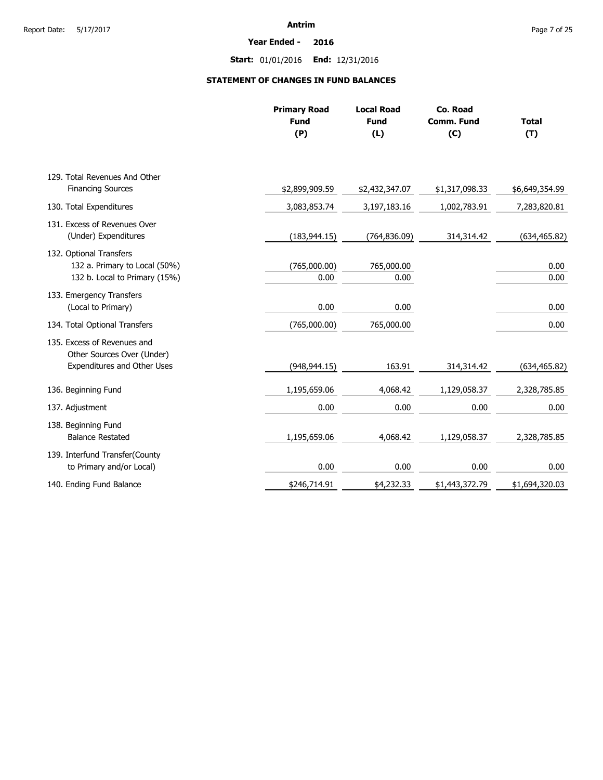**Year Ended - 2016**

**Start:** 01/01/2016 **End:** 12/31/2016

### **STATEMENT OF CHANGES IN FUND BALANCES**

|                                                                                           | <b>Primary Road</b><br><b>Fund</b><br>(P) | <b>Local Road</b><br><b>Fund</b><br>(L) | Co. Road<br><b>Comm. Fund</b><br>(C) | <b>Total</b><br>(T) |
|-------------------------------------------------------------------------------------------|-------------------------------------------|-----------------------------------------|--------------------------------------|---------------------|
| 129. Total Revenues And Other                                                             |                                           |                                         |                                      |                     |
| <b>Financing Sources</b>                                                                  | \$2,899,909.59                            | \$2,432,347.07                          | \$1,317,098.33                       | \$6,649,354.99      |
| 130. Total Expenditures                                                                   | 3,083,853.74                              | 3,197,183.16                            | 1,002,783.91                         | 7,283,820.81        |
| 131. Excess of Revenues Over<br>(Under) Expenditures                                      | (183, 944.15)                             | (764, 836.09)                           | 314,314.42                           | (634, 465.82)       |
| 132. Optional Transfers<br>132 a. Primary to Local (50%)<br>132 b. Local to Primary (15%) | (765,000.00)<br>0.00                      | 765,000.00<br>0.00                      |                                      | 0.00<br>0.00        |
| 133. Emergency Transfers<br>(Local to Primary)                                            | 0.00                                      | 0.00                                    |                                      | 0.00                |
| 134. Total Optional Transfers                                                             | (765,000.00)                              | 765,000.00                              |                                      | 0.00                |
| 135. Excess of Revenues and<br>Other Sources Over (Under)<br>Expenditures and Other Uses  | (948, 944.15)                             | 163.91                                  | 314,314.42                           | (634, 465.82)       |
| 136. Beginning Fund                                                                       | 1,195,659.06                              | 4,068.42                                | 1,129,058.37                         | 2,328,785.85        |
| 137. Adjustment                                                                           | 0.00                                      | 0.00                                    | 0.00                                 | 0.00                |
| 138. Beginning Fund<br><b>Balance Restated</b>                                            | 1,195,659.06                              | 4,068.42                                | 1,129,058.37                         | 2,328,785.85        |
| 139. Interfund Transfer(County<br>to Primary and/or Local)                                | 0.00                                      | 0.00                                    | 0.00                                 | 0.00                |
| 140. Ending Fund Balance                                                                  | \$246,714.91                              | \$4,232.33                              | \$1,443,372.79                       | \$1,694,320.03      |
|                                                                                           |                                           |                                         |                                      |                     |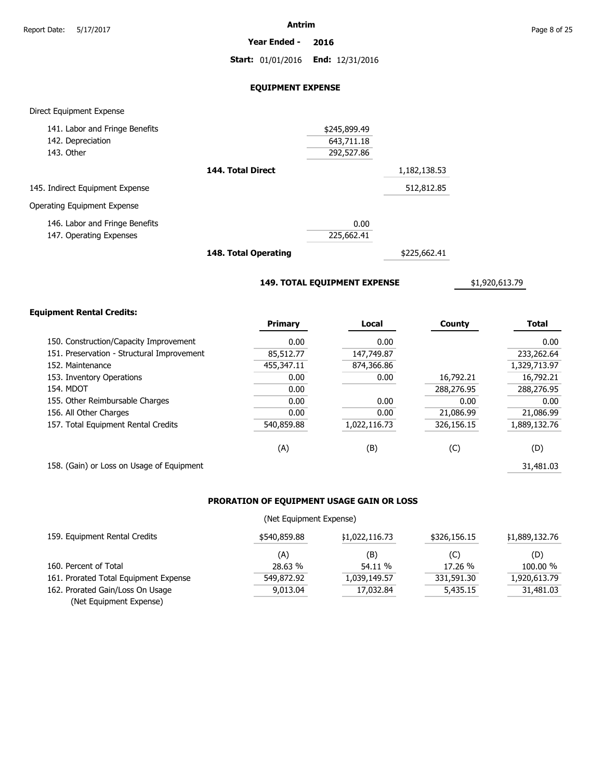**Year Ended - 2016**

**Start:** 01/01/2016 **End:** 12/31/2016

#### **EQUIPMENT EXPENSE**

#### Direct Equipment Expense

| \$245,899.49                      |
|-----------------------------------|
| 643,711.18                        |
| 292,527.86                        |
| 144. Total Direct<br>1,182,138.53 |
| 512,812.85                        |
|                                   |
| 0.00                              |
| 225,662.41                        |
|                                   |

**148. Total Operating**

\$225,662.41

**149. TOTAL EQUIPMENT EXPENSE**

\$1,920,613.79

#### **Equipment Rental Credits:**

|                                            | Primary    | Local        | <b>County</b> | <b>Total</b> |
|--------------------------------------------|------------|--------------|---------------|--------------|
| 150. Construction/Capacity Improvement     | 0.00       | 0.00         |               | 0.00         |
| 151. Preservation - Structural Improvement | 85,512.77  | 147,749.87   |               | 233,262.64   |
| 152. Maintenance                           | 455,347.11 | 874,366.86   |               | 1,329,713.97 |
| 153. Inventory Operations                  | 0.00       | 0.00         | 16,792.21     | 16,792.21    |
| 154. MDOT                                  | 0.00       |              | 288,276.95    | 288,276.95   |
| 155. Other Reimbursable Charges            | 0.00       | 0.00         | 0.00          | 0.00         |
| 156. All Other Charges                     | 0.00       | 0.00         | 21,086.99     | 21,086.99    |
| 157. Total Equipment Rental Credits        | 540,859.88 | 1,022,116.73 | 326,156.15    | 1,889,132.76 |
|                                            | (A)        | (B)          | (C)           | (D)          |
| 158. (Gain) or Loss on Usage of Equipment  |            |              |               | 31,481.03    |

### **PRORATION OF EQUIPMENT USAGE GAIN OR LOSS**

#### (Net Equipment Expense)

| 159. Equipment Rental Credits         | \$540,859.88 | \$1,022,116.73 | \$326,156.15 | \$1,889,132.76 |
|---------------------------------------|--------------|----------------|--------------|----------------|
|                                       | (A)          | (B)            | (C)          | (D)            |
| 160. Percent of Total                 | 28.63 %      | 54.11 %        | 17.26 %      | 100.00 %       |
| 161. Prorated Total Equipment Expense | 549,872.92   | 1,039,149.57   | 331,591.30   | 1,920,613.79   |
| 162. Prorated Gain/Loss On Usage      | 9.013.04     | 17.032.84      | 5,435.15     | 31,481.03      |
| (Net Equipment Expense)               |              |                |              |                |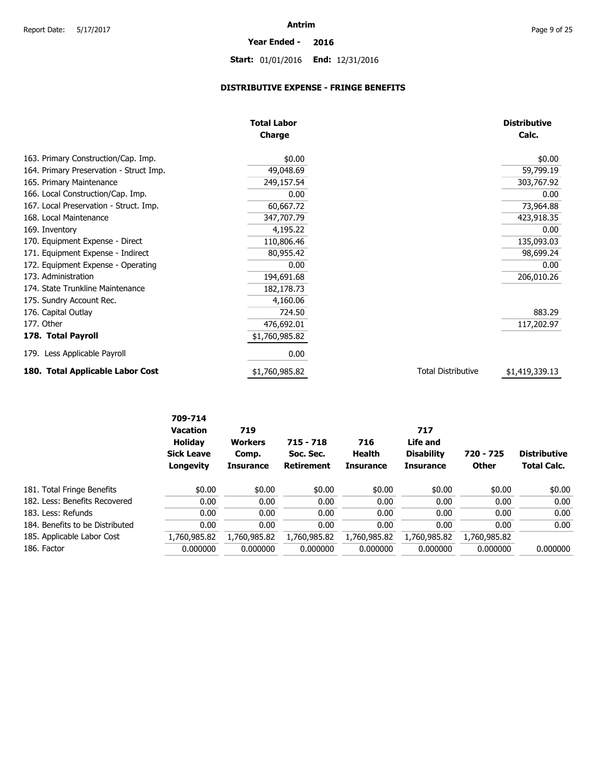## **Year Ended - 2016 Start:** 01/01/2016 **End:** 12/31/2016

### **DISTRIBUTIVE EXPENSE - FRINGE BENEFITS**

|                                         | <b>Total Labor</b> |                           | <b>Distributive</b> |
|-----------------------------------------|--------------------|---------------------------|---------------------|
|                                         | <b>Charge</b>      |                           | Calc.               |
| 163. Primary Construction/Cap. Imp.     | \$0.00             |                           | \$0.00              |
| 164. Primary Preservation - Struct Imp. | 49,048.69          |                           | 59,799.19           |
| 165. Primary Maintenance                | 249,157.54         |                           | 303,767.92          |
| 166. Local Construction/Cap. Imp.       | 0.00               |                           | 0.00                |
| 167. Local Preservation - Struct. Imp.  | 60,667.72          |                           | 73,964.88           |
| 168. Local Maintenance                  | 347,707.79         |                           | 423,918.35          |
| 169. Inventory                          | 4,195.22           |                           | 0.00                |
| 170. Equipment Expense - Direct         | 110,806.46         |                           | 135,093.03          |
| 171. Equipment Expense - Indirect       | 80,955.42          |                           | 98,699.24           |
| 172. Equipment Expense - Operating      | 0.00               |                           | 0.00                |
| 173. Administration                     | 194,691.68         |                           | 206,010.26          |
| 174. State Trunkline Maintenance        | 182,178.73         |                           |                     |
| 175. Sundry Account Rec.                | 4,160.06           |                           |                     |
| 176. Capital Outlay                     | 724.50             |                           | 883.29              |
| 177. Other                              | 476,692.01         |                           | 117,202.97          |
| 178. Total Payroll                      | \$1,760,985.82     |                           |                     |
| 179. Less Applicable Payroll            | 0.00               |                           |                     |
| 180. Total Applicable Labor Cost        | \$1,760,985.82     | <b>Total Distributive</b> | \$1,419,339.13      |

|                                 | 709-714<br><b>Vacation</b><br>Holiday | 719<br><b>Workers</b>     | $715 - 718$                    | 716                        | 717<br>Life and                       |                           |                                           |
|---------------------------------|---------------------------------------|---------------------------|--------------------------------|----------------------------|---------------------------------------|---------------------------|-------------------------------------------|
|                                 | <b>Sick Leave</b><br>Longevity        | Comp.<br><b>Insurance</b> | Soc. Sec.<br><b>Retirement</b> | Health<br><b>Insurance</b> | <b>Disability</b><br><b>Insurance</b> | 720 - 725<br><b>Other</b> | <b>Distributive</b><br><b>Total Calc.</b> |
| 181. Total Fringe Benefits      | \$0.00                                | \$0.00                    | \$0.00                         | \$0.00                     | \$0.00                                | \$0.00                    | \$0.00                                    |
| 182. Less: Benefits Recovered   | 0.00                                  | 0.00                      | 0.00                           | 0.00                       | 0.00                                  | 0.00                      | 0.00                                      |
| 183. Less: Refunds              | 0.00                                  | 0.00                      | 0.00                           | 0.00                       | 0.00                                  | 0.00                      | 0.00                                      |
| 184. Benefits to be Distributed | 0.00                                  | 0.00                      | 0.00                           | 0.00                       | 0.00                                  | 0.00                      | 0.00                                      |
| 185. Applicable Labor Cost      | 1,760,985.82                          | 1,760,985.82              | 1,760,985.82                   | 1,760,985.82               | 1,760,985.82                          | 1,760,985.82              |                                           |
| 186. Factor                     | 0.000000                              | 0.000000                  | 0.000000                       | 0.000000                   | 0.000000                              | 0.000000                  | 0.000000                                  |
|                                 |                                       |                           |                                |                            |                                       |                           |                                           |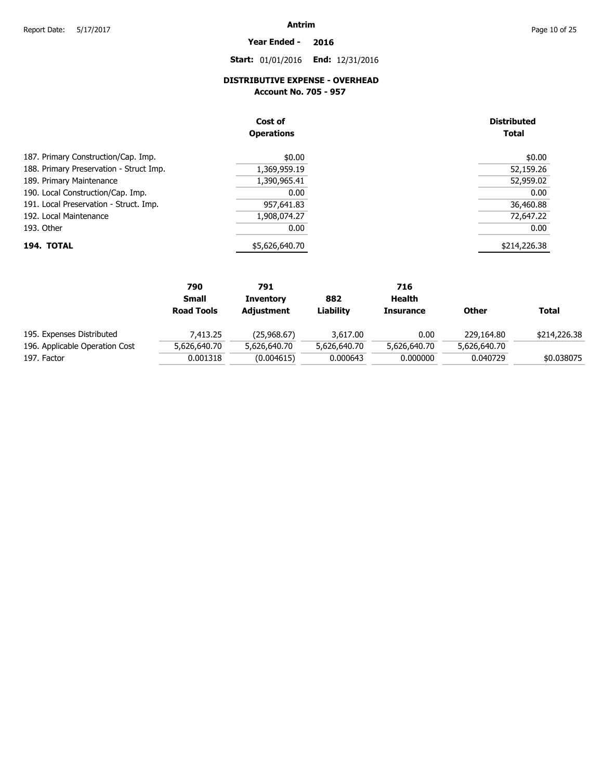# **Year Ended - 2016**

**Start:** 01/01/2016 **End:** 12/31/2016

### **DISTRIBUTIVE EXPENSE - OVERHEAD**

**Account No. 705 - 957** 

|                                         | Cost of<br><b>Operations</b> | <b>Distributed</b><br><b>Total</b> |
|-----------------------------------------|------------------------------|------------------------------------|
| 187. Primary Construction/Cap. Imp.     | \$0.00                       | \$0.00                             |
| 188. Primary Preservation - Struct Imp. | 1,369,959.19                 | 52,159.26                          |
| 189. Primary Maintenance                | 1,390,965.41                 | 52,959.02                          |
| 190. Local Construction/Cap. Imp.       | 0.00                         | 0.00                               |
| 191. Local Preservation - Struct. Imp.  | 957,641.83                   | 36,460.88                          |
| 192. Local Maintenance                  | 1,908,074.27                 | 72,647.22                          |
| 193. Other                              | 0.00                         | 0.00                               |
| 194. TOTAL                              | \$5,626,640.70               | \$214,226.38                       |

|                                | 790               | 791              |              | 716              |              |              |
|--------------------------------|-------------------|------------------|--------------|------------------|--------------|--------------|
|                                | <b>Small</b>      | <b>Inventory</b> | 882          | Health           |              |              |
|                                | <b>Road Tools</b> | Adjustment       | Liabilitv    | <b>Insurance</b> | Other        | <b>Total</b> |
| 195. Expenses Distributed      | 7.413.25          | (25,968.67)      | 3,617.00     | 0.00             | 229,164.80   | \$214,226.38 |
| 196. Applicable Operation Cost | 5,626,640.70      | 5,626,640.70     | 5,626,640.70 | 5,626,640.70     | 5,626,640.70 |              |
| 197. Factor                    | 0.001318          | (0.004615)       | 0.000643     | 0.000000         | 0.040729     | \$0.038075   |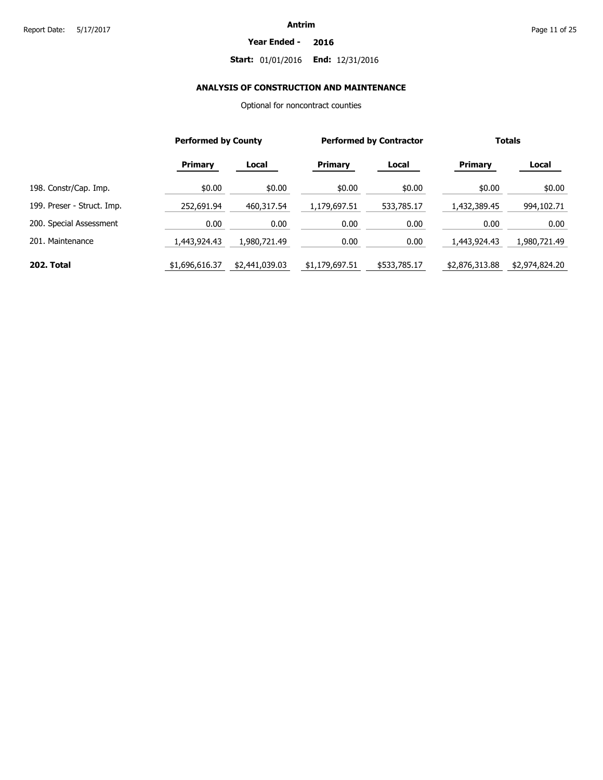#### **Year Ended - 2016**

### **Start:** 01/01/2016 **End:** 12/31/2016

### **ANALYSIS OF CONSTRUCTION AND MAINTENANCE**

Optional for noncontract counties

|                            | <b>Performed by County</b> |                |                | <b>Performed by Contractor</b> |                | <b>Totals</b>  |
|----------------------------|----------------------------|----------------|----------------|--------------------------------|----------------|----------------|
|                            | <b>Primary</b>             | Local          | <b>Primary</b> | Local                          | <b>Primary</b> | Local          |
| 198. Constr/Cap. Imp.      | \$0.00                     | \$0.00         | \$0.00         | \$0.00                         | \$0.00         | \$0.00         |
| 199. Preser - Struct. Imp. | 252,691.94                 | 460,317.54     | 1,179,697.51   | 533,785.17                     | 1,432,389.45   | 994,102.71     |
| 200. Special Assessment    | 0.00                       | 0.00           | 0.00           | 0.00                           | 0.00           | 0.00           |
| 201. Maintenance           | 1,443,924.43               | 1,980,721.49   | 0.00           | 0.00                           | 1,443,924.43   | 1,980,721.49   |
| 202. Total                 | \$1,696,616.37             | \$2,441,039.03 | \$1,179,697.51 | \$533,785.17                   | \$2,876,313.88 | \$2,974,824.20 |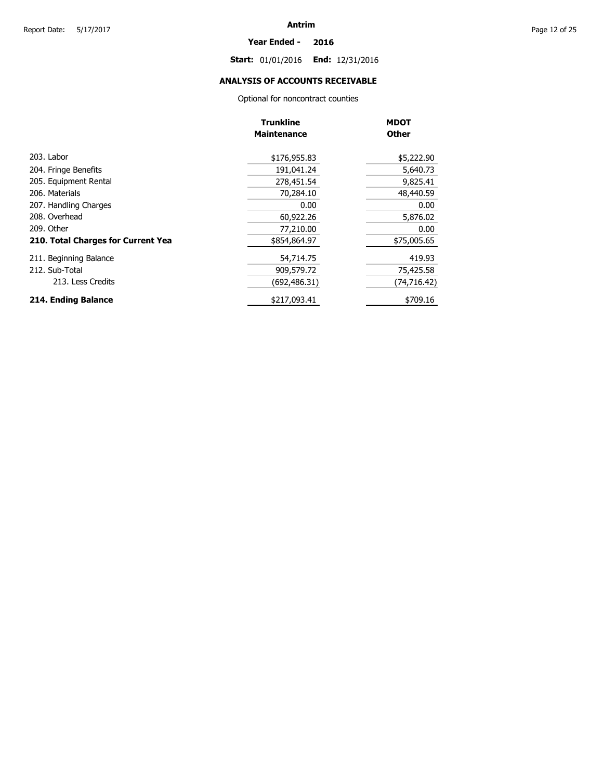#### **Year Ended - 2016**

**Start:** 01/01/2016 **End:** 12/31/2016

### **ANALYSIS OF ACCOUNTS RECEIVABLE**

Optional for noncontract counties

|                                    | <b>Trunkline</b>   | <b>MDOT</b>  |
|------------------------------------|--------------------|--------------|
|                                    | <b>Maintenance</b> | <b>Other</b> |
| 203. Labor                         | \$176,955.83       | \$5,222.90   |
| 204. Fringe Benefits               | 191,041.24         | 5,640.73     |
| 205. Equipment Rental              | 278,451.54         | 9,825.41     |
| 206. Materials                     | 70,284.10          | 48,440.59    |
| 207. Handling Charges              | 0.00               | 0.00         |
| 208. Overhead                      | 60,922.26          | 5,876.02     |
| 209. Other                         | 77,210.00          | 0.00         |
| 210. Total Charges for Current Yea | \$854,864.97       | \$75,005.65  |
| 211. Beginning Balance             | 54,714.75          | 419.93       |
| 212. Sub-Total                     | 909,579.72         | 75,425.58    |
| 213. Less Credits                  | (692, 486.31)      | (74, 716.42) |
| 214. Ending Balance                | \$217,093.41       | \$709.16     |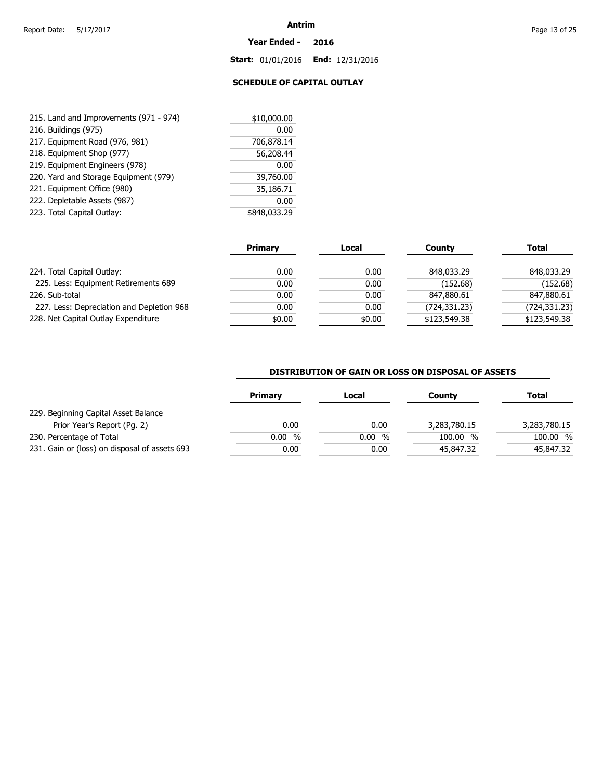#### **Year Ended - 2016**

**Start:** 01/01/2016 **End:** 12/31/2016

### **SCHEDULE OF CAPITAL OUTLAY**

| 215. Land and Improvements (971 - 974) | \$10,000.00  |  |
|----------------------------------------|--------------|--|
| 216. Buildings (975)                   | 0.00         |  |
| 217. Equipment Road (976, 981)         | 706,878.14   |  |
| 218. Equipment Shop (977)              | 56,208.44    |  |
| 219. Equipment Engineers (978)         | 0.00         |  |
| 220. Yard and Storage Equipment (979)  | 39,760.00    |  |
| 221. Equipment Office (980)            | 35,186.71    |  |
| 222. Depletable Assets (987)           | 0.00         |  |
| 223. Total Capital Outlay:             | \$848,033.29 |  |

|                                           | <b>Primary</b> | Local  | County       | <b>Total</b> |
|-------------------------------------------|----------------|--------|--------------|--------------|
| 224. Total Capital Outlay:                | 0.00           | 0.00   | 848,033,29   | 848,033.29   |
| 225. Less: Equipment Retirements 689      | 0.00           | 0.00   | (152.68)     | (152.68)     |
| 226. Sub-total                            | 0.00           | 0.00   | 847,880.61   | 847,880.61   |
| 227. Less: Depreciation and Depletion 968 | 0.00           | 0.00   | (724,331.23) | (724,331.23) |
| 228. Net Capital Outlay Expenditure       | \$0.00         | \$0.00 | \$123,549.38 | \$123,549.38 |

#### **DISTRIBUTION OF GAIN OR LOSS ON DISPOSAL OF ASSETS**

|                                               | <b>Primary</b> | Local | Countv       | Total        |
|-----------------------------------------------|----------------|-------|--------------|--------------|
| 229. Beginning Capital Asset Balance          |                |       |              |              |
| Prior Year's Report (Pg. 2)                   | 0.00           | 0.00  | 3,283,780.15 | 3,283,780.15 |
| 230. Percentage of Total                      | $0.00\%$       | 0.00% | 100.00 %     | 100.00 %     |
| 231. Gain or (loss) on disposal of assets 693 | 0.00           | 0.00  | 45,847.32    | 45,847.32    |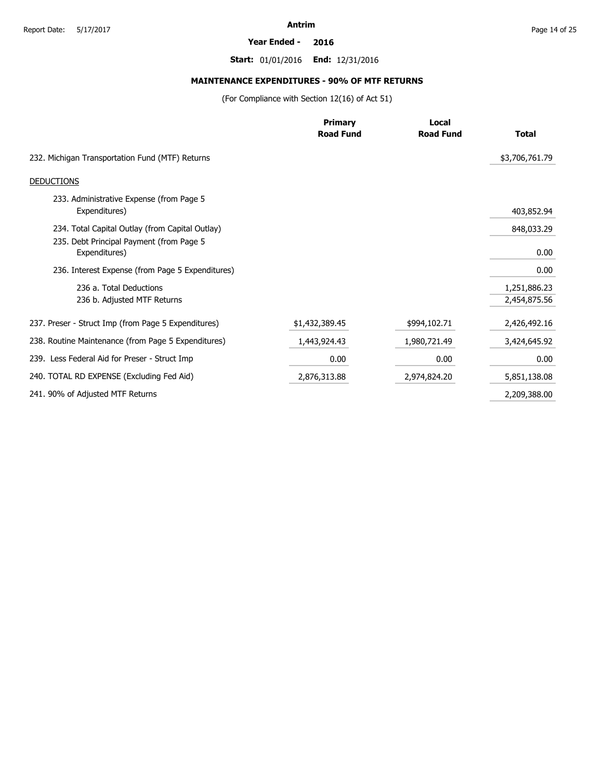#### **Year Ended - 2016**

**Start:** 01/01/2016 **End:** 12/31/2016

### **MAINTENANCE EXPENDITURES - 90% OF MTF RETURNS**

(For Compliance with Section 12(16) of Act 51)

|                                                           | <b>Primary</b>   | Local            |                |
|-----------------------------------------------------------|------------------|------------------|----------------|
|                                                           | <b>Road Fund</b> | <b>Road Fund</b> | <b>Total</b>   |
| 232. Michigan Transportation Fund (MTF) Returns           |                  |                  | \$3,706,761.79 |
| <b>DEDUCTIONS</b>                                         |                  |                  |                |
| 233. Administrative Expense (from Page 5<br>Expenditures) |                  |                  | 403,852.94     |
| 234. Total Capital Outlay (from Capital Outlay)           |                  |                  | 848,033.29     |
| 235. Debt Principal Payment (from Page 5<br>Expenditures) |                  |                  | 0.00           |
| 236. Interest Expense (from Page 5 Expenditures)          |                  |                  | 0.00           |
| 236 a. Total Deductions                                   |                  |                  | 1,251,886.23   |
| 236 b. Adjusted MTF Returns                               |                  |                  | 2,454,875.56   |
| 237. Preser - Struct Imp (from Page 5 Expenditures)       | \$1,432,389.45   | \$994,102.71     | 2,426,492.16   |
| 238. Routine Maintenance (from Page 5 Expenditures)       | 1,443,924.43     | 1,980,721.49     | 3,424,645.92   |
| 239. Less Federal Aid for Preser - Struct Imp             | 0.00             | 0.00             | 0.00           |
| 240. TOTAL RD EXPENSE (Excluding Fed Aid)                 | 2,876,313.88     | 2,974,824.20     | 5,851,138.08   |
| 241. 90% of Adjusted MTF Returns                          |                  |                  | 2,209,388.00   |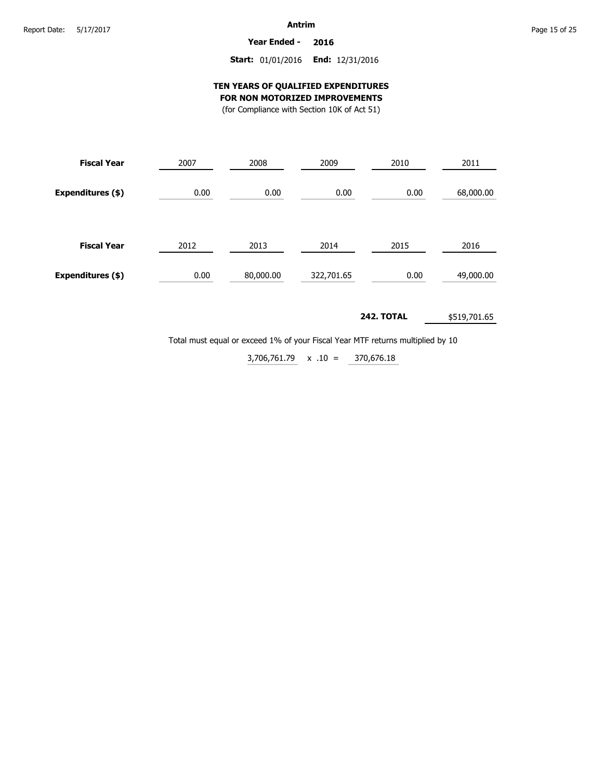**Year Ended - 2016**

#### **Start:** 01/01/2016 **End:** 12/31/2016

#### **TEN YEARS OF QUALIFIED EXPENDITURES FOR NON MOTORIZED IMPROVEMENTS**

(for Compliance with Section 10K of Act 51)

| <b>Fiscal Year</b> | 2007 | 2008      | 2009       | 2010 | 2011      |  |
|--------------------|------|-----------|------------|------|-----------|--|
| Expenditures (\$)  | 0.00 | 0.00      | 0.00       | 0.00 | 68,000.00 |  |
| <b>Fiscal Year</b> | 2012 | 2013      | 2014       | 2015 | 2016      |  |
| Expenditures (\$)  | 0.00 | 80,000.00 | 322,701.65 | 0.00 | 49,000.00 |  |

#### **242. TOTAL** \$519,701.65

Total must equal or exceed 1% of your Fiscal Year MTF returns multiplied by 10

370,676.18  $3,706,761.79 \times .10 =$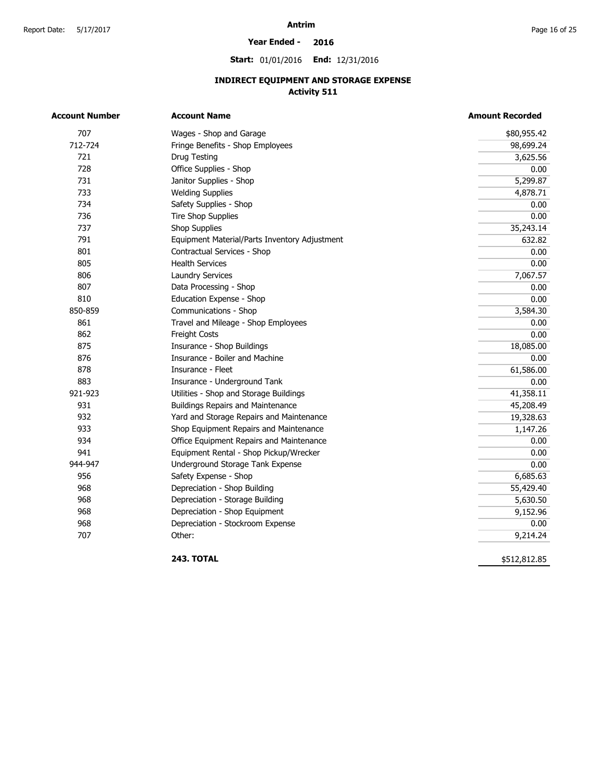#### **Year Ended - 2016**

**Start:** 01/01/2016 **End:** 12/31/2016

### **INDIRECT EQUIPMENT AND STORAGE EXPENSE Activity 511**

| <b>Account Number</b> | <b>Account Name</b>                           | <b>Amount Recorded</b> |  |  |
|-----------------------|-----------------------------------------------|------------------------|--|--|
| 707                   | Wages - Shop and Garage                       | \$80,955.42            |  |  |
| 712-724               | Fringe Benefits - Shop Employees              | 98,699.24              |  |  |
| 721                   | Drug Testing                                  | 3,625.56               |  |  |
| 728                   | Office Supplies - Shop                        | 0.00                   |  |  |
| 731                   | Janitor Supplies - Shop                       | 5,299.87               |  |  |
| 733                   | <b>Welding Supplies</b>                       | 4,878.71               |  |  |
| 734                   | Safety Supplies - Shop                        | 0.00                   |  |  |
| 736                   | <b>Tire Shop Supplies</b>                     | 0.00                   |  |  |
| 737                   | <b>Shop Supplies</b>                          | 35,243.14              |  |  |
| 791                   | Equipment Material/Parts Inventory Adjustment | 632.82                 |  |  |
| 801                   | Contractual Services - Shop                   | 0.00                   |  |  |
| 805                   | <b>Health Services</b>                        | 0.00                   |  |  |
| 806                   | <b>Laundry Services</b>                       | 7,067.57               |  |  |
| 807                   | Data Processing - Shop                        | 0.00                   |  |  |
| 810                   | Education Expense - Shop                      | 0.00                   |  |  |
| 850-859               | Communications - Shop                         | 3,584.30               |  |  |
| 861                   | Travel and Mileage - Shop Employees           | 0.00                   |  |  |
| 862                   | Freight Costs                                 | 0.00                   |  |  |
| 875                   | Insurance - Shop Buildings                    | 18,085.00              |  |  |
| 876                   | Insurance - Boiler and Machine                | 0.00                   |  |  |
| 878                   | Insurance - Fleet                             | 61,586.00              |  |  |
| 883                   | Insurance - Underground Tank                  | 0.00                   |  |  |
| 921-923               | Utilities - Shop and Storage Buildings        | 41,358.11              |  |  |
| 931                   | <b>Buildings Repairs and Maintenance</b>      | 45,208.49              |  |  |
| 932                   | Yard and Storage Repairs and Maintenance      | 19,328.63              |  |  |
| 933                   | Shop Equipment Repairs and Maintenance        | 1,147.26               |  |  |
| 934                   | Office Equipment Repairs and Maintenance      | 0.00                   |  |  |
| 941                   | Equipment Rental - Shop Pickup/Wrecker        | 0.00                   |  |  |
| 944-947               | Underground Storage Tank Expense              | 0.00                   |  |  |
| 956                   | Safety Expense - Shop                         | 6,685.63               |  |  |
| 968                   | Depreciation - Shop Building                  | 55,429.40              |  |  |
| 968                   | Depreciation - Storage Building               | 5,630.50               |  |  |
| 968                   | Depreciation - Shop Equipment                 | 9,152.96               |  |  |
| 968                   | Depreciation - Stockroom Expense              | 0.00                   |  |  |
| 707                   | Other:                                        | 9,214.24               |  |  |

**243. TOTAL** 

\$512,812.85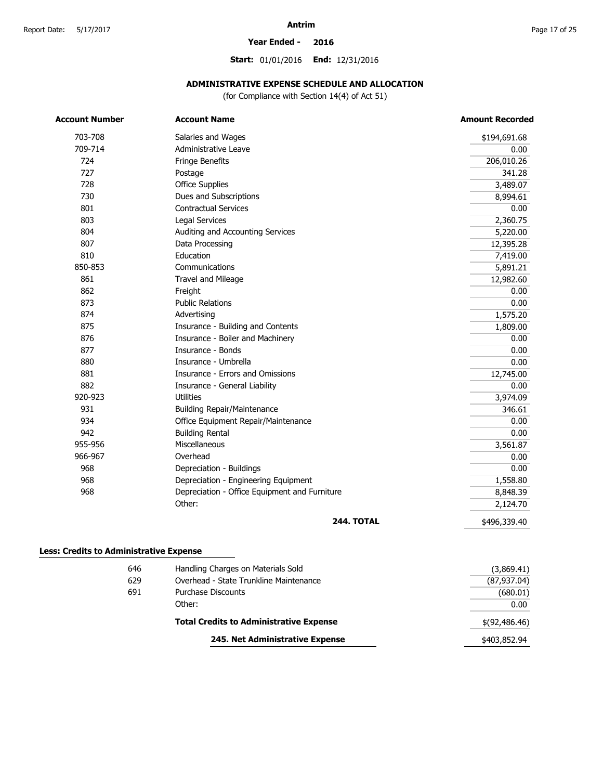#### **Year Ended - 2016**

**Start:** 01/01/2016 **End:** 12/31/2016

#### **ADMINISTRATIVE EXPENSE SCHEDULE AND ALLOCATION**

(for Compliance with Section 14(4) of Act 51)

| <b>Account Number</b> | <b>Account Name</b>                           | <b>Amount Recorded</b> |
|-----------------------|-----------------------------------------------|------------------------|
| 703-708               | Salaries and Wages                            | \$194,691.68           |
| 709-714               | Administrative Leave                          | 0.00                   |
| 724                   | Fringe Benefits                               | 206,010.26             |
| 727                   | Postage                                       | 341.28                 |
| 728                   | Office Supplies                               | 3,489.07               |
| 730                   | Dues and Subscriptions                        | 8,994.61               |
| 801                   | <b>Contractual Services</b>                   | 0.00                   |
| 803                   | <b>Legal Services</b>                         | 2,360.75               |
| 804                   | Auditing and Accounting Services              | 5,220.00               |
| 807                   | Data Processing                               | 12,395.28              |
| 810                   | Education                                     | 7,419.00               |
| 850-853               | Communications                                | 5,891.21               |
| 861                   | Travel and Mileage                            | 12,982.60              |
| 862                   | Freight                                       | 0.00                   |
| 873                   | <b>Public Relations</b>                       | 0.00                   |
| 874                   | Advertising                                   | 1,575.20               |
| 875                   | Insurance - Building and Contents             | 1,809.00               |
| 876                   | Insurance - Boiler and Machinery              | 0.00                   |
| 877                   | Insurance - Bonds                             | 0.00                   |
| 880                   | Insurance - Umbrella                          | 0.00                   |
| 881                   | Insurance - Errors and Omissions              | 12,745.00              |
| 882                   | Insurance - General Liability                 | 0.00                   |
| 920-923               | <b>Utilities</b>                              | 3,974.09               |
| 931                   | <b>Building Repair/Maintenance</b>            | 346.61                 |
| 934                   | Office Equipment Repair/Maintenance           | 0.00                   |
| 942                   | <b>Building Rental</b>                        | 0.00                   |
| 955-956               | Miscellaneous                                 | 3,561.87               |
| 966-967               | Overhead                                      | 0.00                   |
| 968                   | Depreciation - Buildings                      | 0.00                   |
| 968                   | Depreciation - Engineering Equipment          | 1,558.80               |
| 968                   | Depreciation - Office Equipment and Furniture | 8,848.39               |
|                       | Other:                                        | 2,124.70               |
|                       | <b>244. TOTAL</b>                             | \$496,339.40           |

#### **Less: Credits to Administrative Expense**

| 646 | Handling Charges on Materials Sold             | (3,869.41)    |
|-----|------------------------------------------------|---------------|
| 629 | Overhead - State Trunkline Maintenance         | (87, 937.04)  |
| 691 | Purchase Discounts                             | (680.01)      |
|     | Other:                                         | 0.00          |
|     | <b>Total Credits to Administrative Expense</b> | \$(92,486.46) |
|     | 245. Net Administrative Expense                | \$403,852.94  |
|     |                                                |               |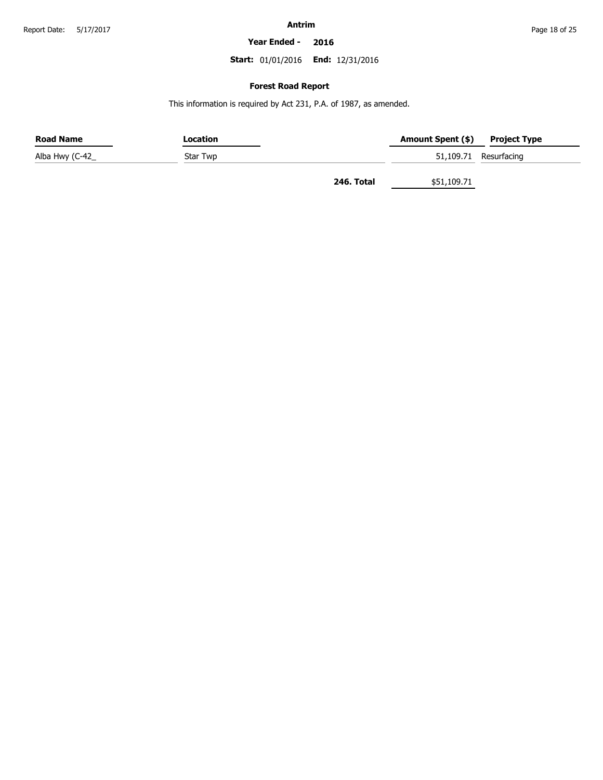**Year Ended - 2016**

**Start:** 01/01/2016 **End:** 12/31/2016

#### **Forest Road Report**

This information is required by Act 231, P.A. of 1987, as amended.

| <b>Road Name</b> | Location |            | Amount Spent (\$) | <b>Project Type</b>   |
|------------------|----------|------------|-------------------|-----------------------|
| Alba Hwy (C-42_  | Star Twp |            |                   | 51,109.71 Resurfacing |
|                  |          | 246. Total | \$51,109.71       |                       |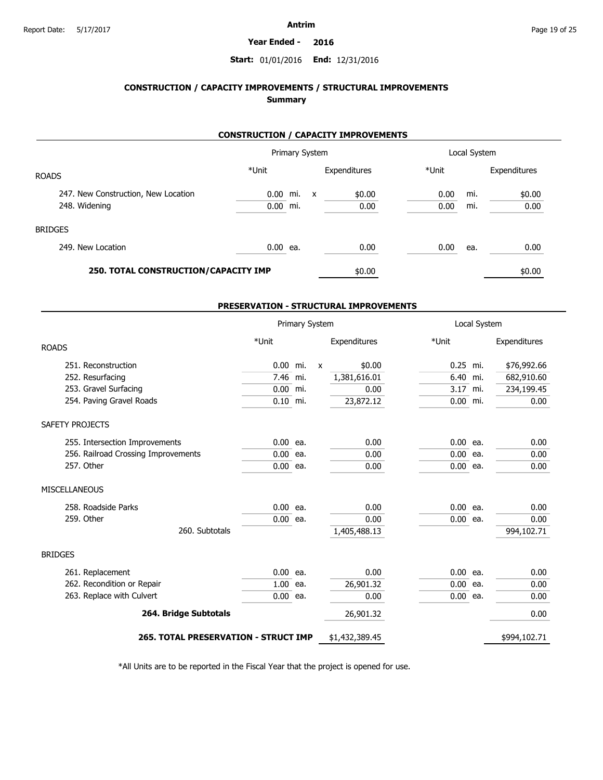#### **Year Ended - 2016**

#### **Start:** 01/01/2016 **End:** 12/31/2016

### **CONSTRUCTION / CAPACITY IMPROVEMENTS / STRUCTURAL IMPROVEMENTS Summary**

#### **CONSTRUCTION / CAPACITY IMPROVEMENTS**

|                                      |            | Primary System |                           |              |       | Local System |              |
|--------------------------------------|------------|----------------|---------------------------|--------------|-------|--------------|--------------|
| <b>ROADS</b>                         | *Unit      |                |                           | Expenditures | *Unit |              | Expenditures |
| 247. New Construction, New Location  | 0.00 mi.   |                | $\boldsymbol{\mathsf{x}}$ | \$0.00       | 0.00  | mi.          | \$0.00       |
| 248. Widening                        | $0.00$ mi. |                |                           | 0.00         | 0.00  | mi.          | 0.00         |
| <b>BRIDGES</b>                       |            |                |                           |              |       |              |              |
| 249. New Location                    | $0.00$ ea. |                |                           | 0.00         | 0.00  | ea.          | 0.00         |
| 250. TOTAL CONSTRUCTION/CAPACITY IMP |            |                |                           | \$0.00       |       |              | \$0.00       |

#### **PRESERVATION - STRUCTURAL IMPROVEMENTS**

|                                      |            | Primary System |              |                |            | Local System |              |  |
|--------------------------------------|------------|----------------|--------------|----------------|------------|--------------|--------------|--|
| <b>ROADS</b>                         | *Unit      |                |              | Expenditures   | *Unit      |              | Expenditures |  |
| 251. Reconstruction                  | $0.00$ mi. |                | $\mathsf{x}$ | \$0.00         | 0.25 mi.   |              | \$76,992.66  |  |
| 252. Resurfacing                     | 7.46 mi.   |                |              | 1,381,616.01   | 6.40 mi.   |              | 682,910.60   |  |
| 253. Gravel Surfacing                | $0.00$ mi. |                |              | 0.00           | 3.17 mi.   |              | 234,199.45   |  |
| 254. Paving Gravel Roads             | $0.10$ mi. |                |              | 23,872.12      | $0.00$ mi. |              | 0.00         |  |
| SAFETY PROJECTS                      |            |                |              |                |            |              |              |  |
| 255. Intersection Improvements       | $0.00$ ea. |                |              | 0.00           | $0.00$ ea. |              | 0.00         |  |
| 256. Railroad Crossing Improvements  | $0.00$ ea. |                |              | 0.00           | $0.00$ ea. |              | 0.00         |  |
| 257. Other                           | $0.00$ ea. |                |              | 0.00           | $0.00$ ea. |              | 0.00         |  |
| <b>MISCELLANEOUS</b>                 |            |                |              |                |            |              |              |  |
| 258. Roadside Parks                  | $0.00$ ea. |                |              | 0.00           | $0.00$ ea. |              | 0.00         |  |
| 259. Other                           | $0.00$ ea. |                |              | 0.00           | $0.00$ ea. |              | 0.00         |  |
| 260. Subtotals                       |            |                |              | 1,405,488.13   |            |              | 994,102.71   |  |
| <b>BRIDGES</b>                       |            |                |              |                |            |              |              |  |
| 261. Replacement                     | $0.00$ ea. |                |              | 0.00           | $0.00$ ea. |              | 0.00         |  |
| 262. Recondition or Repair           | $1.00$ ea. |                |              | 26,901.32      | $0.00$ ea. |              | 0.00         |  |
| 263. Replace with Culvert            | $0.00$ ea. |                |              | 0.00           | $0.00$ ea. |              | 0.00         |  |
| 264. Bridge Subtotals                |            |                |              | 26,901.32      |            |              | 0.00         |  |
| 265. TOTAL PRESERVATION - STRUCT IMP |            |                |              | \$1,432,389.45 |            |              | \$994,102.71 |  |

\*All Units are to be reported in the Fiscal Year that the project is opened for use.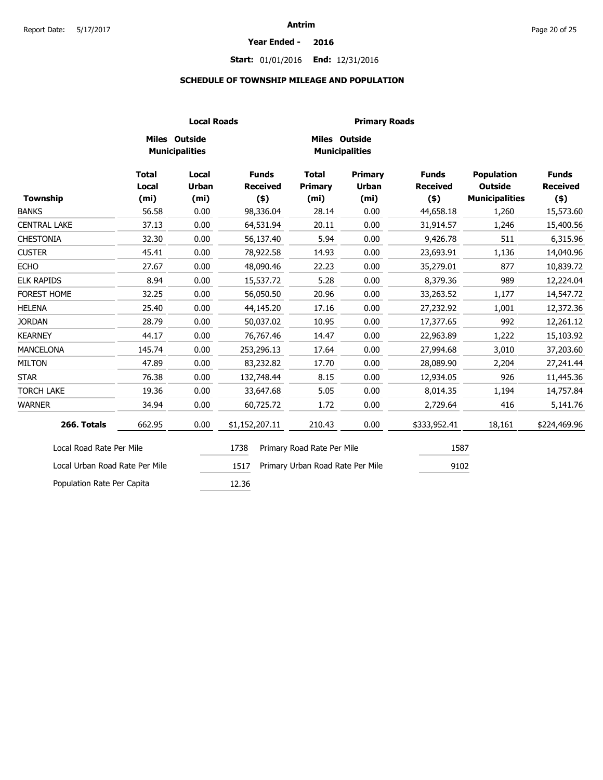#### **Year Ended - 2016**

### **Start:** 01/01/2016 **End:** 12/31/2016

#### **SCHEDULE OF TOWNSHIP MILEAGE AND POPULATION**

|                                |                                            |                                            | <b>Local Roads</b>                       |                                                     | <b>Primary Roads</b>                                |                                            |                                                              |                                            |
|--------------------------------|--------------------------------------------|--------------------------------------------|------------------------------------------|-----------------------------------------------------|-----------------------------------------------------|--------------------------------------------|--------------------------------------------------------------|--------------------------------------------|
|                                |                                            | Miles Outside<br><b>Municipalities</b>     |                                          | <b>Miles Outside</b>                                | <b>Municipalities</b>                               |                                            |                                                              |                                            |
| <b>Township</b>                | <b>Total</b><br>Local<br>(m <sub>i</sub> ) | Local<br><b>Urban</b><br>(m <sub>i</sub> ) | <b>Funds</b><br><b>Received</b><br>$(*)$ | <b>Total</b><br><b>Primary</b><br>(m <sub>i</sub> ) | <b>Primary</b><br><b>Urban</b><br>(m <sub>i</sub> ) | <b>Funds</b><br><b>Received</b><br>$($ \$) | <b>Population</b><br><b>Outside</b><br><b>Municipalities</b> | <b>Funds</b><br><b>Received</b><br>$($ \$) |
| <b>BANKS</b>                   | 56.58                                      | 0.00                                       | 98,336.04                                | 28.14                                               | 0.00                                                | 44,658.18                                  | 1,260                                                        | 15,573.60                                  |
| <b>CENTRAL LAKE</b>            | 37.13                                      | 0.00                                       | 64,531.94                                | 20.11                                               | 0.00                                                | 31,914.57                                  | 1,246                                                        | 15,400.56                                  |
| <b>CHESTONIA</b>               | 32.30                                      | 0.00                                       | 56,137.40                                | 5.94                                                | 0.00                                                | 9,426.78                                   | 511                                                          | 6,315.96                                   |
| <b>CUSTER</b>                  | 45.41                                      | 0.00                                       | 78,922.58                                | 14.93                                               | 0.00                                                | 23,693.91                                  | 1,136                                                        | 14,040.96                                  |
| <b>ECHO</b>                    | 27.67                                      | 0.00                                       | 48,090.46                                | 22.23                                               | 0.00                                                | 35,279.01                                  | 877                                                          | 10,839.72                                  |
| <b>ELK RAPIDS</b>              | 8.94                                       | 0.00                                       | 15,537.72                                | 5.28                                                | 0.00                                                | 8,379.36                                   | 989                                                          | 12,224.04                                  |
| FOREST HOME                    | 32.25                                      | 0.00                                       | 56,050.50                                | 20.96                                               | 0.00                                                | 33,263.52                                  | 1,177                                                        | 14,547.72                                  |
| <b>HELENA</b>                  | 25.40                                      | 0.00                                       | 44,145.20                                | 17.16                                               | 0.00                                                | 27,232.92                                  | 1,001                                                        | 12,372.36                                  |
| <b>JORDAN</b>                  | 28.79                                      | 0.00                                       | 50,037.02                                | 10.95                                               | 0.00                                                | 17,377.65                                  | 992                                                          | 12,261.12                                  |
| <b>KEARNEY</b>                 | 44.17                                      | 0.00                                       | 76,767.46                                | 14.47                                               | 0.00                                                | 22,963.89                                  | 1,222                                                        | 15,103.92                                  |
| <b>MANCELONA</b>               | 145.74                                     | 0.00                                       | 253,296.13                               | 17.64                                               | 0.00                                                | 27,994.68                                  | 3,010                                                        | 37,203.60                                  |
| <b>MILTON</b>                  | 47.89                                      | 0.00                                       | 83,232.82                                | 17.70                                               | 0.00                                                | 28,089.90                                  | 2,204                                                        | 27,241.44                                  |
| <b>STAR</b>                    | 76.38                                      | 0.00                                       | 132,748.44                               | 8.15                                                | 0.00                                                | 12,934.05                                  | 926                                                          | 11,445.36                                  |
| <b>TORCH LAKE</b>              | 19.36                                      | 0.00                                       | 33,647.68                                | 5.05                                                | 0.00                                                | 8,014.35                                   | 1,194                                                        | 14,757.84                                  |
| <b>WARNER</b>                  | 34.94                                      | 0.00                                       | 60,725.72                                | 1.72                                                | 0.00                                                | 2,729.64                                   | 416                                                          | 5,141.76                                   |
| 266. Totals                    | 662.95                                     | 0.00                                       | \$1,152,207.11                           | 210.43                                              | 0.00                                                | \$333,952.41                               | 18,161                                                       | \$224,469.96                               |
| Local Road Rate Per Mile       |                                            |                                            | 1738                                     | Primary Road Rate Per Mile                          |                                                     | 1587                                       |                                                              |                                            |
| Local Urban Road Rate Per Mile |                                            |                                            | 1517                                     | Primary Urban Road Rate Per Mile                    |                                                     | 9102                                       |                                                              |                                            |
| Population Rate Per Capita     |                                            |                                            | 12.36                                    |                                                     |                                                     |                                            |                                                              |                                            |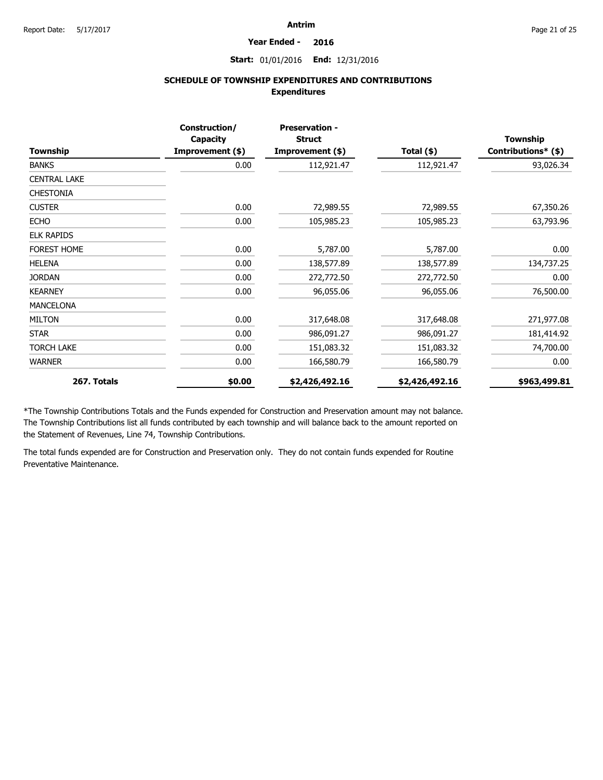#### **Year Ended - 2016**

#### **Start:** 01/01/2016 **End:** 12/31/2016

### **SCHEDULE OF TOWNSHIP EXPENDITURES AND CONTRIBUTIONS Expenditures**

|                     | Construction/<br><b>Capacity</b> | <b>Preservation -</b><br><b>Struct</b> |                | <b>Township</b>     |
|---------------------|----------------------------------|----------------------------------------|----------------|---------------------|
| <b>Township</b>     | Improvement (\$)                 | Improvement (\$)                       | Total (\$)     | Contributions* (\$) |
| <b>BANKS</b>        | 0.00                             | 112,921.47                             | 112,921.47     | 93,026.34           |
| <b>CENTRAL LAKE</b> |                                  |                                        |                |                     |
| <b>CHESTONIA</b>    |                                  |                                        |                |                     |
| <b>CUSTER</b>       | 0.00                             | 72,989.55                              | 72,989.55      | 67,350.26           |
| <b>ECHO</b>         | 0.00                             | 105,985.23                             | 105,985.23     | 63,793.96           |
| <b>ELK RAPIDS</b>   |                                  |                                        |                |                     |
| <b>FOREST HOME</b>  | 0.00                             | 5,787.00                               | 5,787.00       | 0.00                |
| <b>HELENA</b>       | 0.00                             | 138,577.89                             | 138,577.89     | 134,737.25          |
| <b>JORDAN</b>       | 0.00                             | 272,772.50                             | 272,772.50     | 0.00                |
| <b>KEARNEY</b>      | 0.00                             | 96,055.06                              | 96,055.06      | 76,500.00           |
| <b>MANCELONA</b>    |                                  |                                        |                |                     |
| <b>MILTON</b>       | 0.00                             | 317,648.08                             | 317,648.08     | 271,977.08          |
| <b>STAR</b>         | 0.00                             | 986,091.27                             | 986,091.27     | 181,414.92          |
| <b>TORCH LAKE</b>   | 0.00                             | 151,083.32                             | 151,083.32     | 74,700.00           |
| <b>WARNER</b>       | 0.00                             | 166,580.79                             | 166,580.79     | 0.00                |
| 267. Totals         | \$0.00                           | \$2,426,492.16                         | \$2,426,492.16 | \$963,499.81        |

\*The Township Contributions Totals and the Funds expended for Construction and Preservation amount may not balance. The Township Contributions list all funds contributed by each township and will balance back to the amount reported on the Statement of Revenues, Line 74, Township Contributions.

The total funds expended are for Construction and Preservation only. They do not contain funds expended for Routine Preventative Maintenance.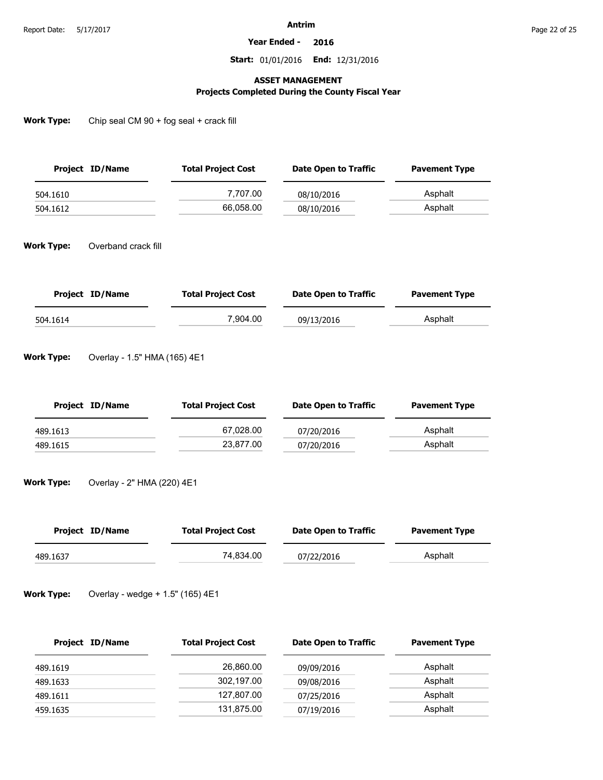**Year Ended - 2016**

**Start:** 01/01/2016 **End:** 12/31/2016

#### **ASSET MANAGEMENT**

### **Projects Completed During the County Fiscal Year**

**Work Type:** Chip seal CM 90 + fog seal + crack fill

| Project ID/Name | <b>Total Project Cost</b> | Date Open to Traffic | <b>Pavement Type</b> |
|-----------------|---------------------------|----------------------|----------------------|
| 504.1610        | 7.707.00                  | 08/10/2016           | Asphalt              |
| 504.1612        | 66.058.00                 | 08/10/2016           | Asphalt              |

**Work Type:** Overband crack fill

| Project ID/Name | <b>Total Project Cost</b> | Date Open to Traffic | <b>Pavement Type</b> |
|-----------------|---------------------------|----------------------|----------------------|
| 504.1614        | 7.904.00                  | 09/13/2016           | Asphalt              |

**Work Type:** Overlay - 1.5" HMA (165) 4E1

| Project ID/Name | <b>Total Project Cost</b> | Date Open to Traffic | <b>Pavement Type</b> |
|-----------------|---------------------------|----------------------|----------------------|
| 489.1613        | 67,028.00                 | 07/20/2016           | Asphalt              |
| 489.1615        | 23.877.00                 | 07/20/2016           | Asphalt              |

**Work Type:** Overlay - 2" HMA (220) 4E1

| Project ID/Name | <b>Total Project Cost</b> | Date Open to Traffic | <b>Pavement Type</b> |
|-----------------|---------------------------|----------------------|----------------------|
| 489.1637        | 74.834.00                 | 07/22/2016           | Asphalt              |

**Work Type:** Overlay - wedge + 1.5" (165) 4E1

| Project ID/Name | <b>Total Project Cost</b> | <b>Date Open to Traffic</b> | <b>Pavement Type</b> |
|-----------------|---------------------------|-----------------------------|----------------------|
| 489.1619        | 26,860.00                 | 09/09/2016                  | Asphalt              |
| 489.1633        | 302,197.00                | 09/08/2016                  | Asphalt              |
| 489.1611        | 127,807.00                | 07/25/2016                  | Asphalt              |
| 459.1635        | 131,875.00                | 07/19/2016                  | Asphalt              |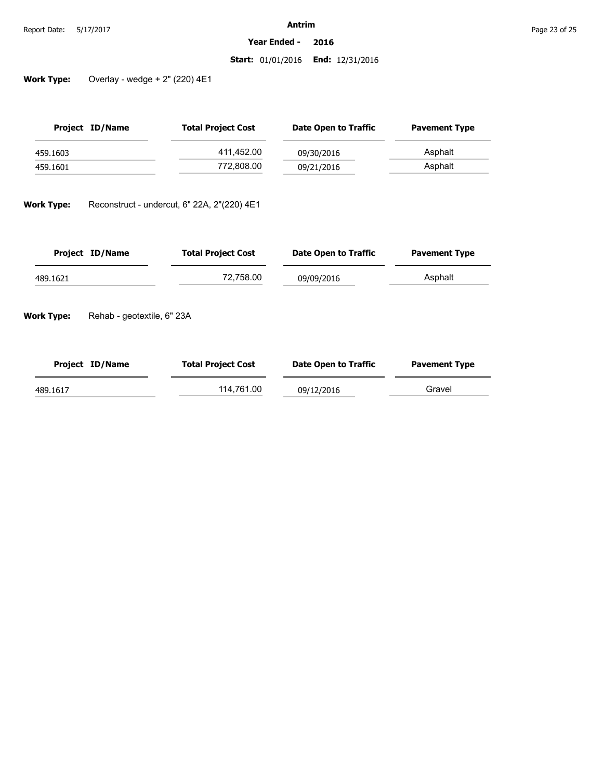**Year Ended - 2016**

#### **Start:** 01/01/2016 **End:** 12/31/2016

**Work Type:** Overlay - wedge + 2" (220) 4E1

| Project ID/Name | <b>Total Project Cost</b> | Date Open to Traffic | <b>Pavement Type</b> |
|-----------------|---------------------------|----------------------|----------------------|
| 459.1603        | 411,452.00                | 09/30/2016           | Asphalt              |
| 459.1601        | 772,808.00                | 09/21/2016           | Asphalt              |

**Work Type:** Reconstruct - undercut, 6" 22A, 2"(220) 4E1

| Project ID/Name | <b>Total Project Cost</b> | Date Open to Traffic | <b>Pavement Type</b> |
|-----------------|---------------------------|----------------------|----------------------|
| 489.1621        | 72,758.00                 | 09/09/2016           | Asphalt              |

**Work Type:** Rehab - geotextile, 6" 23A

| Project ID/Name | <b>Total Project Cost</b> | <b>Date Open to Traffic</b> | <b>Pavement Type</b> |
|-----------------|---------------------------|-----------------------------|----------------------|
| 489.1617        | 114.761.00                | 09/12/2016                  | Gravel               |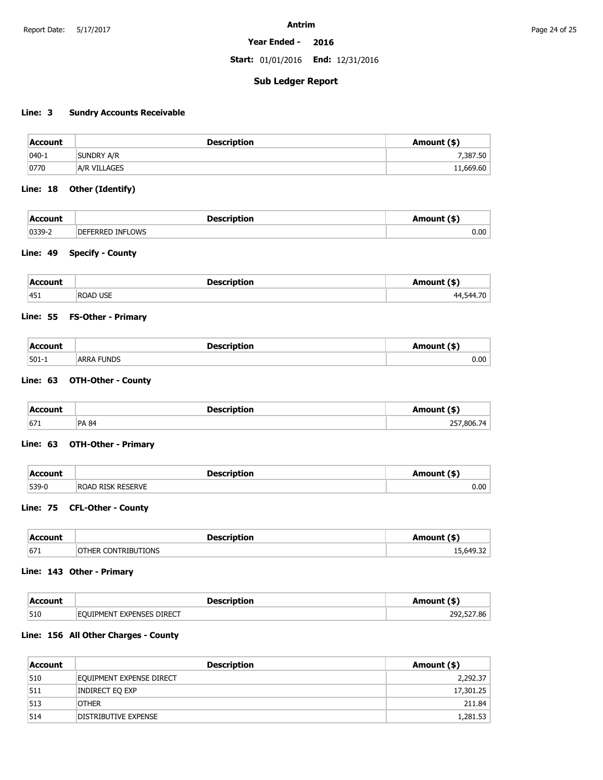#### **Year Ended - 2016**

**Start:** 01/01/2016 **End:** 12/31/2016

### **Sub Ledger Report**

### **Line: 3 Sundry Accounts Receivable**

| Account   | <b>Description</b>  | Amount (\$) |
|-----------|---------------------|-------------|
| $ 040-1 $ | SUNDRY A/R          | 7,387.50    |
| 0770      | <b>A/R VILLAGES</b> | 11,669.60   |

#### **Line: 18 Other (Identify)**

| <b>Accourt</b> | Descrintion               |      |
|----------------|---------------------------|------|
| $ 0339-.$      | ን INFLOWS<br>DEFI<br>トドドト | 0.00 |

#### **Line: 49 Specify - County**

| Acc<br>-----  |                 |              |
|---------------|-----------------|--------------|
| $ 451\rangle$ | i LISE.<br>ROAD | ^"<br>.<br>- |

#### **Line: 55 FS-Other - Primary**

| <b>Account</b> | <b>Description</b> | Amount (\$)<br>. |
|----------------|--------------------|------------------|
| $ 501-1$       | <b>ARRA FUNDS</b>  | 0.00             |

#### **Line: 63 OTH-Other - County**

| Account<br>. | <b>Description</b><br>___ | mount (\$) |
|--------------|---------------------------|------------|
| 671          | <b>PA 84</b>              | 257,806.74 |

#### **Line: 63 OTH-Other - Primary**

| <b>Account</b> | <b>Description</b>          | (\$) Amount |
|----------------|-----------------------------|-------------|
| $539-0$        | <b>RESERVE</b><br>Road Risk | 0.00        |

#### **Line: 75 CFL-Other - County**

| Acc | <b>Nocerintion</b> |          |
|-----|--------------------|----------|
| 671 | אות זו דו<br>∠ ML' | 15.64922 |

#### **Line: 143 Other - Primary**

| :Account | <b>Description</b>         | Amount (\$)             |
|----------|----------------------------|-------------------------|
| 510      | FOLITPMENT EXPENSES DIRECT | .527.86<br>מר<br>$\sim$ |

#### **Line: 156 All Other Charges - County**

| Account | <b>Description</b>       | Amount (\$) |
|---------|--------------------------|-------------|
| 510     | Equipment expense direct | 2,292.37    |
| 511     | Indirect Eq exp          | 17,301.25   |
| 513     | <b>OTHER</b>             | 211.84      |
| 514     | DISTRIBUTIVE EXPENSE     | 1,281.53    |